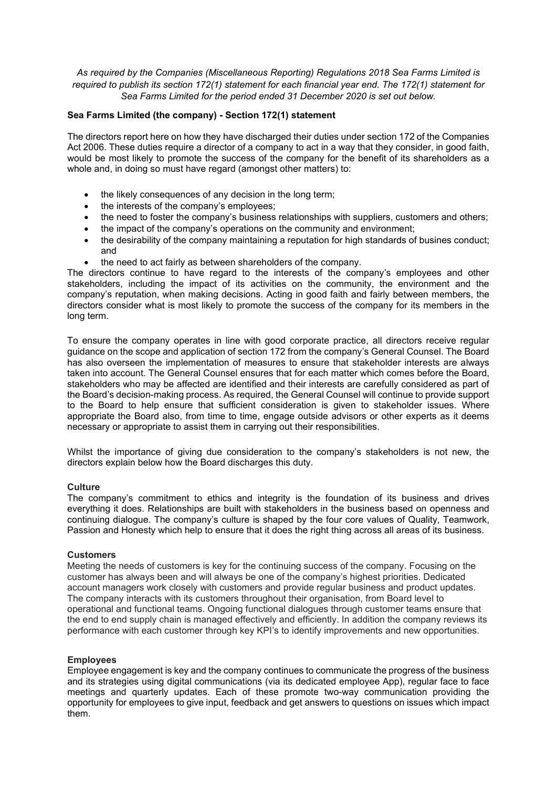*As required by the Companies (Miscellaneous Reporting) Regulations 2018 Sea Farms Limited is required to publish its section 172(1) statement for each financial year end. The 172(1) statement for Sea Farms Limited for the period ended 31 December 2020 is set out below.* 

# **Sea Farms Limited (the company) - Section 172(1) statement**

The directors report here on how they have discharged their duties under section 172 of the Companies Act 2006. These duties require a director of a company to act in a way that they consider, in good faith, would be most likely to promote the success of the company for the benefit of its shareholders as a whole and, in doing so must have regard (amongst other matters) to:

- the likely consequences of any decision in the long term;
- the interests of the company's employees;
- the need to foster the company's business relationships with suppliers, customers and others;
- the impact of the company's operations on the community and environment;
- the desirability of the company maintaining a reputation for high standards of busines conduct; and
- the need to act fairly as between shareholders of the company.

The directors continue to have regard to the interests of the company's employees and other stakeholders, including the impact of its activities on the community, the environment and the company's reputation, when making decisions. Acting in good faith and fairly between members, the directors consider what is most likely to promote the success of the company for its members in the long term.

To ensure the company operates in line with good corporate practice, all directors receive regular guidance on the scope and application of section 172 from the company's General Counsel. The Board has also overseen the implementation of measures to ensure that stakeholder interests are always taken into account. The General Counsel ensures that for each matter which comes before the Board, stakeholders who may be affected are identified and their interests are carefully considered as part of the Board's decision-making process. As required, the General Counsel will continue to provide support to the Board to help ensure that sufficient consideration is given to stakeholder issues. Where appropriate the Board also, from time to time, engage outside advisors or other experts as it deems necessary or appropriate to assist them in carrying out their responsibilities.

Whilst the importance of giving due consideration to the company's stakeholders is not new, the directors explain below how the Board discharges this duty.

## **Culture**

The company's commitment to ethics and integrity is the foundation of its business and drives everything it does. Relationships are built with stakeholders in the business based on openness and continuing dialogue. The company's culture is shaped by the four core values of Quality, Teamwork, Passion and Honesty which help to ensure that it does the right thing across all areas of its business.

## **Customers**

Meeting the needs of customers is key for the continuing success of the company. Focusing on the customer has always been and will always be one of the company's highest priorities. Dedicated account managers work closely with customers and provide regular business and product updates. The company interacts with its customers throughout their organisation, from Board level to operational and functional teams. Ongoing functional dialogues through customer teams ensure that the end to end supply chain is managed effectively and efficiently. In addition the company reviews its performance with each customer through key KPI's to identify improvements and new opportunities.

## **Employees**

Employee engagement is key and the company continues to communicate the progress of the business and its strategies using digital communications (via its dedicated employee App), regular face to face meetings and quarterly updates. Each of these promote two-way communication providing the opportunity for employees to give input, feedback and get answers to questions on issues which impact them.